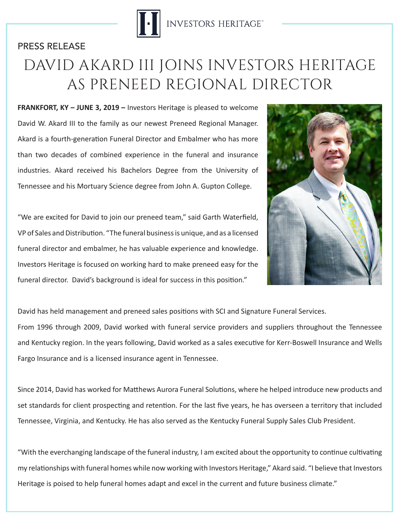

## DAVID AKARD III JOINS INVESTORS HERITAGE AS PRENEED REGIONAL DIRECTOR PRESS RELEASE

**FRANKFORT, KY – JUNE 3, 2019 –** Investors Heritage is pleased to welcome David W. Akard III to the family as our newest Preneed Regional Manager. Akard is a fourth-generation Funeral Director and Embalmer who has more than two decades of combined experience in the funeral and insurance industries. Akard received his Bachelors Degree from the University of Tennessee and his Mortuary Science degree from John A. Gupton College.

"We are excited for David to join our preneed team," said Garth Waterfield, VP of Sales and Distribution. "The funeral business is unique, and as a licensed funeral director and embalmer, he has valuable experience and knowledge. Investors Heritage is focused on working hard to make preneed easy for the funeral director. David's background is ideal for success in this position."



David has held management and preneed sales positions with SCI and Signature Funeral Services.

From 1996 through 2009, David worked with funeral service providers and suppliers throughout the Tennessee and Kentucky region. In the years following, David worked as a sales executive for Kerr-Boswell Insurance and Wells Fargo Insurance and is a licensed insurance agent in Tennessee.

Since 2014, David has worked for Matthews Aurora Funeral Solutions, where he helped introduce new products and set standards for client prospecting and retention. For the last five years, he has overseen a territory that included Tennessee, Virginia, and Kentucky. He has also served as the Kentucky Funeral Supply Sales Club President.

"With the everchanging landscape of the funeral industry, I am excited about the opportunity to continue cultivating my relationships with funeral homes while now working with Investors Heritage," Akard said. "I believe that Investors Heritage is poised to help funeral homes adapt and excel in the current and future business climate."